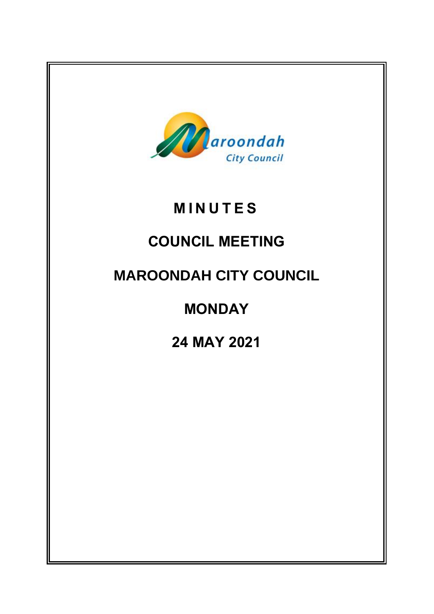

# **M I N U T E S**

# **COUNCIL MEETING**

# **MAROONDAH CITY COUNCIL**

# **MONDAY**

# **24 MAY 2021**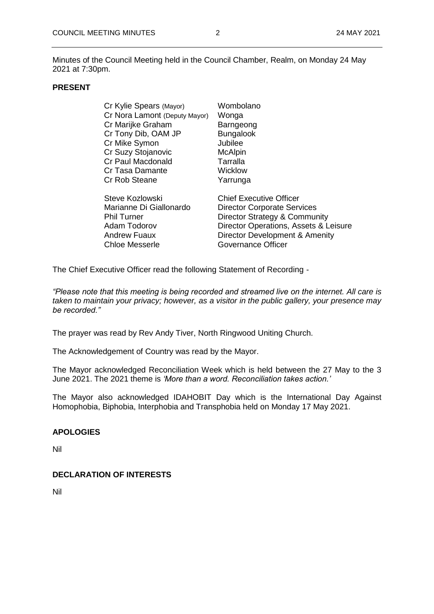Minutes of the Council Meeting held in the Council Chamber, Realm, on Monday 24 May 2021 at 7:30pm.

#### **PRESENT**

| Cr Kylie Spears (Mayor)       | Wombolano                             |
|-------------------------------|---------------------------------------|
| Cr Nora Lamont (Deputy Mayor) | Wonga                                 |
| Cr Marijke Graham             | Barngeong                             |
| Cr Tony Dib, OAM JP           | <b>Bungalook</b>                      |
| Cr Mike Symon                 | Jubilee                               |
| Cr Suzy Stojanovic            | <b>McAlpin</b>                        |
| Cr Paul Macdonald             | Tarralla                              |
| Cr Tasa Damante               | Wicklow                               |
| Cr Rob Steane                 | Yarrunga                              |
| Steve Kozlowski               | <b>Chief Executive Officer</b>        |
| Marianne Di Giallonardo       | <b>Director Corporate Services</b>    |
| <b>Phil Turner</b>            | Director Strategy & Community         |
| Adam Todorov                  | Director Operations, Assets & Leisure |
| <b>Andrew Fuaux</b>           | Director Development & Amenity        |
| Chloe Messerle                | Governance Officer                    |
|                               |                                       |

The Chief Executive Officer read the following Statement of Recording -

*"Please note that this meeting is being recorded and streamed live on the internet. All care is taken to maintain your privacy; however, as a visitor in the public gallery, your presence may be recorded."*

The prayer was read by Rev Andy Tiver, North Ringwood Uniting Church.

The Acknowledgement of Country was read by the Mayor.

The Mayor acknowledged Reconciliation Week which is held between the 27 May to the 3 June 2021. The 2021 theme is *'More than a word. Reconciliation takes action.'*

The Mayor also acknowledged IDAHOBIT Day which is the International Day Against Homophobia, Biphobia, Interphobia and Transphobia held on Monday 17 May 2021.

#### **APOLOGIES**

Nil

#### **DECLARATION OF INTERESTS**

Nil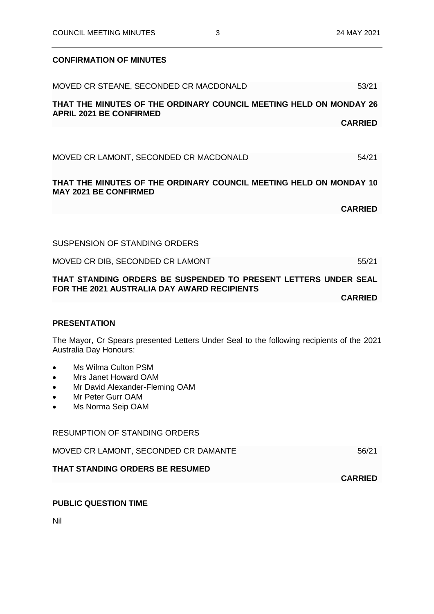### **CONFIRMATION OF MINUTES**

| MOVED CR STEANE, SECONDED CR MACDONALD                                                                                                                                      | 53/21          |
|-----------------------------------------------------------------------------------------------------------------------------------------------------------------------------|----------------|
| THAT THE MINUTES OF THE ORDINARY COUNCIL MEETING HELD ON MONDAY 26<br><b>APRIL 2021 BE CONFIRMED</b>                                                                        |                |
|                                                                                                                                                                             | <b>CARRIED</b> |
|                                                                                                                                                                             |                |
| MOVED CR LAMONT, SECONDED CR MACDONALD                                                                                                                                      | 54/21          |
| THAT THE MINUTES OF THE ORDINARY COUNCIL MEETING HELD ON MONDAY 10<br><b>MAY 2021 BE CONFIRMED</b>                                                                          |                |
|                                                                                                                                                                             | <b>CARRIED</b> |
|                                                                                                                                                                             |                |
| <b>SUSPENSION OF STANDING ORDERS</b>                                                                                                                                        |                |
| MOVED CR DIB, SECONDED CR LAMONT                                                                                                                                            | 55/21          |
| THAT STANDING ORDERS BE SUSPENDED TO PRESENT LETTERS UNDER SEAL                                                                                                             |                |
| FOR THE 2021 AUSTRALIA DAY AWARD RECIPIENTS                                                                                                                                 | <b>CARRIED</b> |
|                                                                                                                                                                             |                |
| <b>PRESENTATION</b>                                                                                                                                                         |                |
| The Mayor, Cr Spears presented Letters Under Seal to the following recipients of the 2021<br>Australia Day Honours:                                                         |                |
| Ms Wilma Culton PSM<br>$\bullet$<br>Mrs Janet Howard OAM<br>$\bullet$<br>Mr David Alexander-Fleming OAM<br>$\bullet$<br>Mr Peter Gurr OAM<br>$\bullet$<br>Ms Norma Seip OAM |                |
| <b>RESUMPTION OF STANDING ORDERS</b>                                                                                                                                        |                |
| MOVED CR LAMONT, SECONDED CR DAMANTE                                                                                                                                        | 56/21          |
| THAT STANDING ORDERS BE RESUMED                                                                                                                                             | <b>CARRIED</b> |
|                                                                                                                                                                             |                |

## **PUBLIC QUESTION TIME**

Nil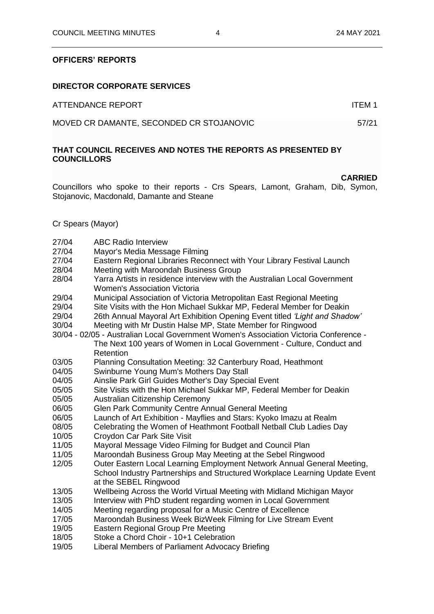#### **OFFICERS' REPORTS**

#### **DIRECTOR CORPORATE SERVICES**

ATTENDANCE REPORT AND ITEM 1

MOVED CR DAMANTE, SECONDED CR STOJANOVIC 57/21

#### **THAT COUNCIL RECEIVES AND NOTES THE REPORTS AS PRESENTED BY COUNCILLORS**

#### **CARRIED**

Councillors who spoke to their reports - Crs Spears, Lamont, Graham, Dib, Symon, Stojanovic, Macdonald, Damante and Steane

Cr Spears (Mayor)

- 27/04 ABC Radio Interview<br>27/04 Mavor's Media Messa
- Mayor's Media Message Filming
- 27/04 Eastern Regional Libraries Reconnect with Your Library Festival Launch
- 28/04 Meeting with Maroondah Business Group
- 28/04 Yarra Artists in residence interview with the Australian Local Government Women's Association Victoria
- 29/04 Municipal Association of Victoria Metropolitan East Regional Meeting
- 29/04 Site Visits with the Hon Michael Sukkar MP, Federal Member for Deakin
- 29/04 26th Annual Mayoral Art Exhibition Opening Event titled *'Light and Shadow'*
- 30/04 Meeting with Mr Dustin Halse MP, State Member for Ringwood
- 30/04 02/05 Australian Local Government Women's Association Victoria Conference The Next 100 years of Women in Local Government - Culture, Conduct and **Retention**
- 03/05 Planning Consultation Meeting: 32 Canterbury Road, Heathmont
- 04/05 Swinburne Young Mum's Mothers Day Stall
- 04/05 Ainslie Park Girl Guides Mother's Day Special Event
- 05/05 Site Visits with the Hon Michael Sukkar MP, Federal Member for Deakin
- 05/05 Australian Citizenship Ceremony
- 06/05 Glen Park Community Centre Annual General Meeting
- 06/05 Launch of Art Exhibition Mayflies and Stars: Kyoko Imazu at Realm<br>08/05 Celebrating the Women of Heathmont Football Netball Club Ladies D
- 08/05 Celebrating the Women of Heathmont Football Netball Club Ladies Day
- 10/05 Croydon Car Park Site Visit
- 11/05 Mayoral Message Video Filming for Budget and Council Plan
- 11/05 Maroondah Business Group May Meeting at the Sebel Ringwood
- 12/05 Outer Eastern Local Learning Employment Network Annual General Meeting, School Industry Partnerships and Structured Workplace Learning Update Event at the SEBEL Ringwood
- 13/05 Wellbeing Across the World Virtual Meeting with Midland Michigan Mayor
- 13/05 Interview with PhD student regarding women in Local Government
- 14/05 Meeting regarding proposal for a Music Centre of Excellence
- 17/05 Maroondah Business Week BizWeek Filming for Live Stream Event
- 19/05 Eastern Regional Group Pre Meeting
- 18/05 Stoke a Chord Choir 10+1 Celebration
- 19/05 Liberal Members of Parliament Advocacy Briefing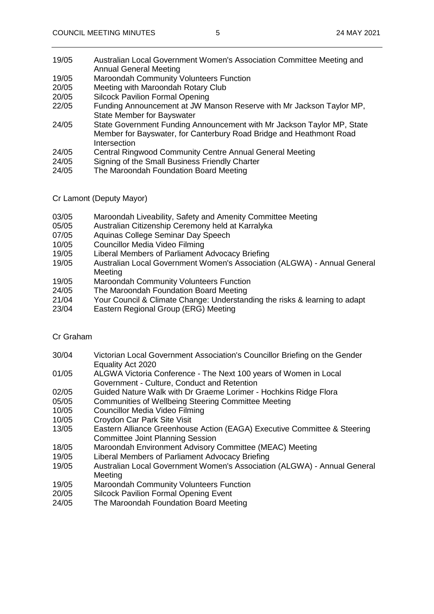- 19/05 Australian Local Government Women's Association Committee Meeting and Annual General Meeting
- 19/05 Maroondah Community Volunteers Function
- 20/05 Meeting with Maroondah Rotary Club
- 20/05 Silcock Pavilion Formal Opening
- 22/05 Funding Announcement at JW Manson Reserve with Mr Jackson Taylor MP, State Member for Bayswater
- 24/05 State Government Funding Announcement with Mr Jackson Taylor MP, State Member for Bayswater, for Canterbury Road Bridge and Heathmont Road Intersection
- 24/05 Central Ringwood Community Centre Annual General Meeting
- 24/05 Signing of the Small Business Friendly Charter
- 24/05 The Maroondah Foundation Board Meeting
- Cr Lamont (Deputy Mayor)
- 03/05 Maroondah Liveability, Safety and Amenity Committee Meeting
- 05/05 Australian Citizenship Ceremony held at Karralyka
- 07/05 Aquinas College Seminar Day Speech
- 10/05 Councillor Media Video Filming
- 19/05 Liberal Members of Parliament Advocacy Briefing
- 19/05 Australian Local Government Women's Association (ALGWA) Annual General Meeting
- 19/05 Maroondah Community Volunteers Function
- 24/05 The Maroondah Foundation Board Meeting
- 21/04 Your Council & Climate Change: Understanding the risks & learning to adapt<br>23/04 Eastern Regional Group (ERG) Meeting
- Eastern Regional Group (ERG) Meeting

#### Cr Graham

- 30/04 Victorian Local Government Association's Councillor Briefing on the Gender Equality Act 2020
- 01/05 ALGWA Victoria Conference The Next 100 years of Women in Local Government - Culture, Conduct and Retention
- 02/05 Guided Nature Walk with Dr Graeme Lorimer Hochkins Ridge Flora
- 05/05 Communities of Wellbeing Steering Committee Meeting
- 10/05 Councillor Media Video Filming
- 10/05 Croydon Car Park Site Visit
- 13/05 Eastern Alliance Greenhouse Action (EAGA) Executive Committee & Steering Committee Joint Planning Session
- 18/05 Maroondah Environment Advisory Committee (MEAC) Meeting
- 19/05 Liberal Members of Parliament Advocacy Briefing
- 19/05 Australian Local Government Women's Association (ALGWA) Annual General **Meeting**
- 19/05 Maroondah Community Volunteers Function
- 20/05 Silcock Pavilion Formal Opening Event
- 24/05 The Maroondah Foundation Board Meeting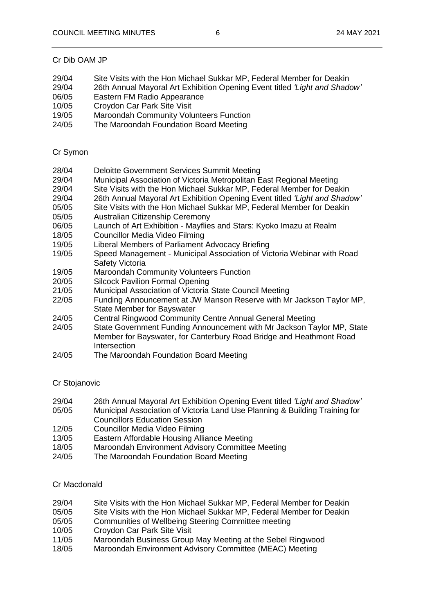#### Cr Dib OAM JP

- 29/04 Site Visits with the Hon Michael Sukkar MP, Federal Member for Deakin
- 29/04 26th Annual Mayoral Art Exhibition Opening Event titled *'Light and Shadow'*
- 06/05 Eastern FM Radio Appearance
- 10/05 Croydon Car Park Site Visit
- 19/05 Maroondah Community Volunteers Function
- 24/05 The Maroondah Foundation Board Meeting

### Cr Symon

- 28/04 Deloitte Government Services Summit Meeting
- 29/04 Municipal Association of Victoria Metropolitan East Regional Meeting
- 29/04 Site Visits with the Hon Michael Sukkar MP, Federal Member for Deakin
- 29/04 26th Annual Mayoral Art Exhibition Opening Event titled *'Light and Shadow'*
- 05/05 Site Visits with the Hon Michael Sukkar MP, Federal Member for Deakin
- 05/05 Australian Citizenship Ceremony
- 06/05 Launch of Art Exhibition Mayflies and Stars: Kyoko Imazu at Realm
- 18/05 Councillor Media Video Filming
- 19/05 Liberal Members of Parliament Advocacy Briefing
- 19/05 Speed Management Municipal Association of Victoria Webinar with Road Safety Victoria
- 19/05 Maroondah Community Volunteers Function
- 20/05 Silcock Pavilion Formal Opening
- 21/05 Municipal Association of Victoria State Council Meeting
- 22/05 Funding Announcement at JW Manson Reserve with Mr Jackson Taylor MP, State Member for Bayswater
- 24/05 Central Ringwood Community Centre Annual General Meeting
- 24/05 State Government Funding Announcement with Mr Jackson Taylor MP, State Member for Bayswater, for Canterbury Road Bridge and Heathmont Road Intersection
- 24/05 The Maroondah Foundation Board Meeting

### Cr Stojanovic

- 29/04 26th Annual Mayoral Art Exhibition Opening Event titled *'Light and Shadow'*
- 05/05 Municipal Association of Victoria Land Use Planning & Building Training for Councillors Education Session
- 12/05 Councillor Media Video Filming
- 13/05 Eastern Affordable Housing Alliance Meeting
- 18/05 Maroondah Environment Advisory Committee Meeting
- 24/05 The Maroondah Foundation Board Meeting

### Cr Macdonald

- 29/04 Site Visits with the Hon Michael Sukkar MP, Federal Member for Deakin
- 05/05 Site Visits with the Hon Michael Sukkar MP, Federal Member for Deakin<br>05/05 Communities of Wellbeing Steering Committee meeting
- Communities of Wellbeing Steering Committee meeting
- 10/05 Croydon Car Park Site Visit<br>11/05 Maroondah Business Group
- Maroondah Business Group May Meeting at the Sebel Ringwood
- 18/05 Maroondah Environment Advisory Committee (MEAC) Meeting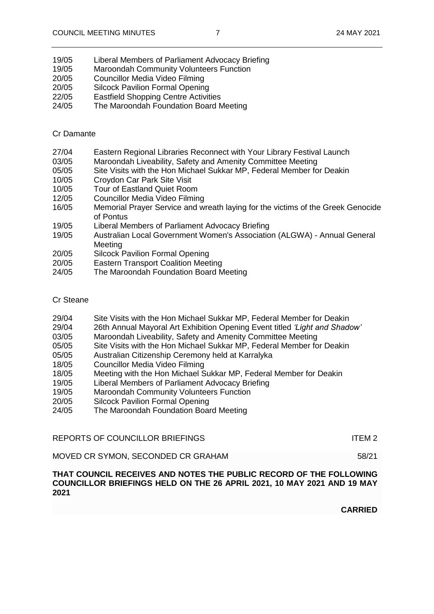- 19/05 Liberal Members of Parliament Advocacy Briefing
- 19/05 Maroondah Community Volunteers Function
- 20/05 Councillor Media Video Filming
- 20/05 Silcock Pavilion Formal Opening
- 22/05 Eastfield Shopping Centre Activities
- 24/05 The Maroondah Foundation Board Meeting

### Cr Damante

- 27/04 Eastern Regional Libraries Reconnect with Your Library Festival Launch
- 03/05 Maroondah Liveability, Safety and Amenity Committee Meeting
- 05/05 Site Visits with the Hon Michael Sukkar MP, Federal Member for Deakin
- 10/05 Croydon Car Park Site Visit
- 10/05 Tour of Eastland Quiet Room
- 12/05 Councillor Media Video Filming
- 16/05 Memorial Prayer Service and wreath laying for the victims of the Greek Genocide of Pontus
- 19/05 Liberal Members of Parliament Advocacy Briefing<br>19/05 Australian Local Government Women's Associatic
- Australian Local Government Women's Association (ALGWA) Annual General Meeting
- 20/05 Silcock Pavilion Formal Opening
- 20/05 Eastern Transport Coalition Meeting
- 24/05 The Maroondah Foundation Board Meeting

#### Cr Steane

- 29/04 Site Visits with the Hon Michael Sukkar MP, Federal Member for Deakin
- 29/04 26th Annual Mayoral Art Exhibition Opening Event titled *'Light and Shadow'*
- 03/05 Maroondah Liveability, Safety and Amenity Committee Meeting
- 05/05 Site Visits with the Hon Michael Sukkar MP, Federal Member for Deakin
- 05/05 Australian Citizenship Ceremony held at Karralyka
- 18/05 Councillor Media Video Filming
- 18/05 Meeting with the Hon Michael Sukkar MP, Federal Member for Deakin
- 19/05 Liberal Members of Parliament Advocacy Briefing
- 19/05 Maroondah Community Volunteers Function
- 20/05 Silcock Pavilion Formal Opening
- 24/05 The Maroondah Foundation Board Meeting

REPORTS OF COUNCILLOR BRIEFINGS ITEM 2

MOVED CR SYMON, SECONDED CR GRAHAM 58/21

### **THAT COUNCIL RECEIVES AND NOTES THE PUBLIC RECORD OF THE FOLLOWING COUNCILLOR BRIEFINGS HELD ON THE 26 APRIL 2021, 10 MAY 2021 AND 19 MAY 2021**

**CARRIED**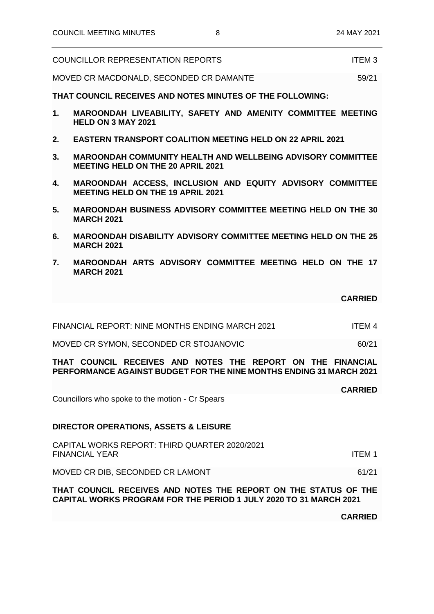| <b>COUNCILLOR REPRESENTATION REPORTS</b> | <b>ITEM3</b> |
|------------------------------------------|--------------|

MOVED CR MACDONALD, SECONDED CR DAMANTE 59/21

**THAT COUNCIL RECEIVES AND NOTES MINUTES OF THE FOLLOWING:**

- **1. MAROONDAH LIVEABILITY, SAFETY AND AMENITY COMMITTEE MEETING HELD ON 3 MAY 2021**
- **2. EASTERN TRANSPORT COALITION MEETING HELD ON 22 APRIL 2021**
- **3. MAROONDAH COMMUNITY HEALTH AND WELLBEING ADVISORY COMMITTEE MEETING HELD ON THE 20 APRIL 2021**
- **4. MAROONDAH ACCESS, INCLUSION AND EQUITY ADVISORY COMMITTEE MEETING HELD ON THE 19 APRIL 2021**
- **5. MAROONDAH BUSINESS ADVISORY COMMITTEE MEETING HELD ON THE 30 MARCH 2021**
- **6. MAROONDAH DISABILITY ADVISORY COMMITTEE MEETING HELD ON THE 25 MARCH 2021**
- **7. MAROONDAH ARTS ADVISORY COMMITTEE MEETING HELD ON THE 17 MARCH 2021**

**CARRIED**

FINANCIAL REPORT: NINE MONTHS ENDING MARCH 2021 ITEM 4

MOVED CR SYMON, SECONDED CR STOJANOVIC 60/21

**THAT COUNCIL RECEIVES AND NOTES THE REPORT ON THE FINANCIAL PERFORMANCE AGAINST BUDGET FOR THE NINE MONTHS ENDING 31 MARCH 2021**

## **CARRIED**

Councillors who spoke to the motion - Cr Spears

### **DIRECTOR OPERATIONS, ASSETS & LEISURE**

CAPITAL WORKS REPORT: THIRD QUARTER 2020/2021 FINANCIAL YEAR ITEM 1

MOVED CR DIB, SECONDED CR LAMONT 61/21

**THAT COUNCIL RECEIVES AND NOTES THE REPORT ON THE STATUS OF THE CAPITAL WORKS PROGRAM FOR THE PERIOD 1 JULY 2020 TO 31 MARCH 2021**

**CARRIED**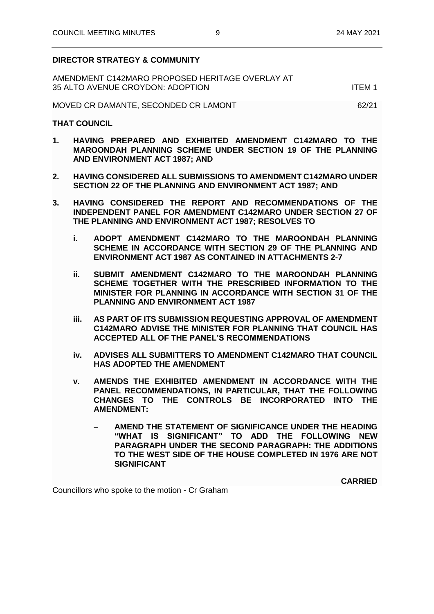#### **DIRECTOR STRATEGY & COMMUNITY**

| AMENDMENT C142MARO PROPOSED HERITAGE OVERLAY AT |        |
|-------------------------------------------------|--------|
| 35 ALTO AVENUE CROYDON: ADOPTION                | ITFM 1 |

MOVED CR DAMANTE, SECONDED CR LAMONT 62/21

#### **THAT COUNCIL**

- **1. HAVING PREPARED AND EXHIBITED AMENDMENT C142MARO TO THE MAROONDAH PLANNING SCHEME UNDER SECTION 19 OF THE PLANNING AND ENVIRONMENT ACT 1987; AND**
- **2. HAVING CONSIDERED ALL SUBMISSIONS TO AMENDMENT C142MARO UNDER SECTION 22 OF THE PLANNING AND ENVIRONMENT ACT 1987; AND**
- **3. HAVING CONSIDERED THE REPORT AND RECOMMENDATIONS OF THE INDEPENDENT PANEL FOR AMENDMENT C142MARO UNDER SECTION 27 OF THE PLANNING AND ENVIRONMENT ACT 1987; RESOLVES TO**
	- **i. ADOPT AMENDMENT C142MARO TO THE MAROONDAH PLANNING SCHEME IN ACCORDANCE WITH SECTION 29 OF THE PLANNING AND ENVIRONMENT ACT 1987 AS CONTAINED IN ATTACHMENTS 2-7**
	- **ii. SUBMIT AMENDMENT C142MARO TO THE MAROONDAH PLANNING SCHEME TOGETHER WITH THE PRESCRIBED INFORMATION TO THE MINISTER FOR PLANNING IN ACCORDANCE WITH SECTION 31 OF THE PLANNING AND ENVIRONMENT ACT 1987**
	- **iii. AS PART OF ITS SUBMISSION REQUESTING APPROVAL OF AMENDMENT C142MARO ADVISE THE MINISTER FOR PLANNING THAT COUNCIL HAS ACCEPTED ALL OF THE PANEL'S RECOMMENDATIONS**
	- **iv. ADVISES ALL SUBMITTERS TO AMENDMENT C142MARO THAT COUNCIL HAS ADOPTED THE AMENDMENT**
	- **v. AMENDS THE EXHIBITED AMENDMENT IN ACCORDANCE WITH THE PANEL RECOMMENDATIONS, IN PARTICULAR, THAT THE FOLLOWING CHANGES TO THE CONTROLS BE INCORPORATED INTO THE AMENDMENT:**
		- − **AMEND THE STATEMENT OF SIGNIFICANCE UNDER THE HEADING "WHAT IS SIGNIFICANT" TO ADD THE FOLLOWING NEW PARAGRAPH UNDER THE SECOND PARAGRAPH: THE ADDITIONS TO THE WEST SIDE OF THE HOUSE COMPLETED IN 1976 ARE NOT SIGNIFICANT**

**CARRIED**

Councillors who spoke to the motion - Cr Graham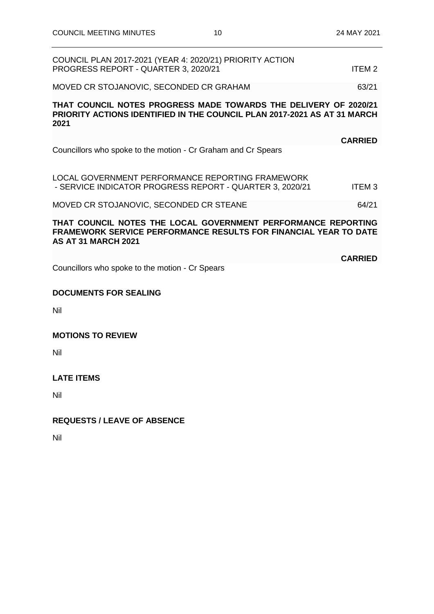| COUNCIL PLAN 2017-2021 (YEAR 4: 2020/21) PRIORITY ACTION<br>PROGRESS REPORT - QUARTER 3, 2020/21                                                                       | ITEM <sub>2</sub> |
|------------------------------------------------------------------------------------------------------------------------------------------------------------------------|-------------------|
| MOVED CR STOJANOVIC, SECONDED CR GRAHAM                                                                                                                                | 63/21             |
| THAT COUNCIL NOTES PROGRESS MADE TOWARDS THE DELIVERY OF 2020/21<br><b>PRIORITY ACTIONS IDENTIFIED IN THE COUNCIL PLAN 2017-2021 AS AT 31 MARCH</b><br>2021            |                   |
|                                                                                                                                                                        | <b>CARRIED</b>    |
| Councillors who spoke to the motion - Cr Graham and Cr Spears                                                                                                          |                   |
| LOCAL GOVERNMENT PERFORMANCE REPORTING FRAMEWORK<br>- SERVICE INDICATOR PROGRESS REPORT - QUARTER 3, 2020/21                                                           | <b>ITEM3</b>      |
| MOVED CR STOJANOVIC, SECONDED CR STEANE                                                                                                                                | 64/21             |
| THAT COUNCIL NOTES THE LOCAL GOVERNMENT PERFORMANCE REPORTING<br><b>FRAMEWORK SERVICE PERFORMANCE RESULTS FOR FINANCIAL YEAR TO DATE</b><br><b>AS AT 31 MARCH 2021</b> |                   |
| Councillors who spoke to the motion - Cr Spears                                                                                                                        | <b>CARRIED</b>    |
| <b>DOCUMENTS FOR SEALING</b>                                                                                                                                           |                   |

Nil

**MOTIONS TO REVIEW**

Nil

**LATE ITEMS**

Nil

### **REQUESTS / LEAVE OF ABSENCE**

Nil